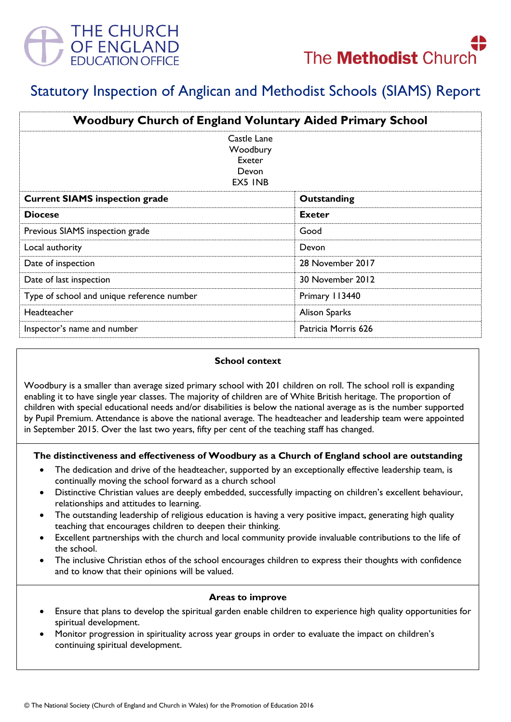



# Statutory Inspection of Anglican and Methodist Schools (SIAMS) Report

| <b>Woodbury Church of England Voluntary Aided Primary School</b> |                     |
|------------------------------------------------------------------|---------------------|
| Castle Lane<br>Woodbury<br>Exeter<br>Devon<br>EX5 INB            |                     |
| <b>Current SIAMS inspection grade</b>                            | Outstanding         |
| <b>Diocese</b>                                                   | <b>Exeter</b>       |
| Previous SIAMS inspection grade                                  | Good                |
| Local authority                                                  | Devon               |
| Date of inspection                                               | 28 November 2017    |
| Date of last inspection                                          | 30 November 2012    |
| Type of school and unique reference number                       | Primary 113440      |
| Headteacher                                                      | Alison Sparks       |
| Inspector's name and number                                      | Patricia Morris 626 |

### **School context**

Woodbury is a smaller than average sized primary school with 201 children on roll. The school roll is expanding enabling it to have single year classes. The majority of children are of White British heritage. The proportion of children with special educational needs and/or disabilities is below the national average as is the number supported by Pupil Premium. Attendance is above the national average. The headteacher and leadership team were appointed in September 2015. Over the last two years, fifty per cent of the teaching staff has changed.

#### **The distinctiveness and effectiveness of Woodbury as a Church of England school are outstanding**

- The dedication and drive of the headteacher, supported by an exceptionally effective leadership team, is continually moving the school forward as a church school
- Distinctive Christian values are deeply embedded, successfully impacting on children's excellent behaviour, relationships and attitudes to learning.
- The outstanding leadership of religious education is having a very positive impact, generating high quality teaching that encourages children to deepen their thinking.
- Excellent partnerships with the church and local community provide invaluable contributions to the life of the school.
- The inclusive Christian ethos of the school encourages children to express their thoughts with confidence and to know that their opinions will be valued.

### **Areas to improve**

- Ensure that plans to develop the spiritual garden enable children to experience high quality opportunities for spiritual development.
- Monitor progression in spirituality across year groups in order to evaluate the impact on children's continuing spiritual development.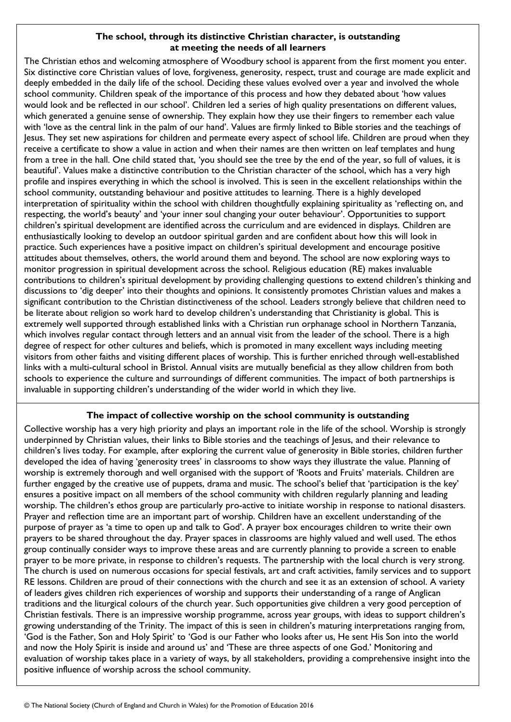# **The school, through its distinctive Christian character, is outstanding at meeting the needs of all learners**

The Christian ethos and welcoming atmosphere of Woodbury school is apparent from the first moment you enter. Six distinctive core Christian values of love, forgiveness, generosity, respect, trust and courage are made explicit and deeply embedded in the daily life of the school. Deciding these values evolved over a year and involved the whole school community. Children speak of the importance of this process and how they debated about 'how values would look and be reflected in our school'. Children led a series of high quality presentations on different values, which generated a genuine sense of ownership. They explain how they use their fingers to remember each value with 'love as the central link in the palm of our hand'. Values are firmly linked to Bible stories and the teachings of Jesus. They set new aspirations for children and permeate every aspect of school life. Children are proud when they receive a certificate to show a value in action and when their names are then written on leaf templates and hung from a tree in the hall. One child stated that, 'you should see the tree by the end of the year, so full of values, it is beautiful'. Values make a distinctive contribution to the Christian character of the school, which has a very high profile and inspires everything in which the school is involved. This is seen in the excellent relationships within the school community, outstanding behaviour and positive attitudes to learning. There is a highly developed interpretation of spirituality within the school with children thoughtfully explaining spirituality as 'reflecting on, and respecting, the world's beauty' and 'your inner soul changing your outer behaviour'. Opportunities to support children's spiritual development are identified across the curriculum and are evidenced in displays. Children are enthusiastically looking to develop an outdoor spiritual garden and are confident about how this will look in practice. Such experiences have a positive impact on children's spiritual development and encourage positive attitudes about themselves, others, the world around them and beyond. The school are now exploring ways to monitor progression in spiritual development across the school. Religious education (RE) makes invaluable contributions to children's spiritual development by providing challenging questions to extend children's thinking and discussions to 'dig deeper' into their thoughts and opinions. It consistently promotes Christian values and makes a significant contribution to the Christian distinctiveness of the school. Leaders strongly believe that children need to be literate about religion so work hard to develop children's understanding that Christianity is global. This is extremely well supported through established links with a Christian run orphanage school in Northern Tanzania, which involves regular contact through letters and an annual visit from the leader of the school. There is a high degree of respect for other cultures and beliefs, which is promoted in many excellent ways including meeting visitors from other faiths and visiting different places of worship. This is further enriched through well-established links with a multi-cultural school in Bristol. Annual visits are mutually beneficial as they allow children from both schools to experience the culture and surroundings of different communities. The impact of both partnerships is invaluable in supporting children's understanding of the wider world in which they live.

# **The impact of collective worship on the school community is outstanding**

Collective worship has a very high priority and plays an important role in the life of the school. Worship is strongly underpinned by Christian values, their links to Bible stories and the teachings of Jesus, and their relevance to children's lives today. For example, after exploring the current value of generosity in Bible stories, children further developed the idea of having 'generosity trees' in classrooms to show ways they illustrate the value. Planning of worship is extremely thorough and well organised with the support of 'Roots and Fruits' materials. Children are further engaged by the creative use of puppets, drama and music. The school's belief that 'participation is the key' ensures a positive impact on all members of the school community with children regularly planning and leading worship. The children's ethos group are particularly pro-active to initiate worship in response to national disasters. Prayer and reflection time are an important part of worship. Children have an excellent understanding of the purpose of prayer as 'a time to open up and talk to God'. A prayer box encourages children to write their own prayers to be shared throughout the day. Prayer spaces in classrooms are highly valued and well used. The ethos group continually consider ways to improve these areas and are currently planning to provide a screen to enable prayer to be more private, in response to children's requests. The partnership with the local church is very strong. The church is used on numerous occasions for special festivals, art and craft activities, family services and to support RE lessons. Children are proud of their connections with the church and see it as an extension of school. A variety of leaders gives children rich experiences of worship and supports their understanding of a range of Anglican traditions and the liturgical colours of the church year. Such opportunities give children a very good perception of Christian festivals. There is an impressive worship programme, across year groups, with ideas to support children's growing understanding of the Trinity. The impact of this is seen in children's maturing interpretations ranging from, 'God is the Father, Son and Holy Spirit' to 'God is our Father who looks after us, He sent His Son into the world and now the Holy Spirit is inside and around us' and 'These are three aspects of one God.' Monitoring and evaluation of worship takes place in a variety of ways, by all stakeholders, providing a comprehensive insight into the positive influence of worship across the school community.